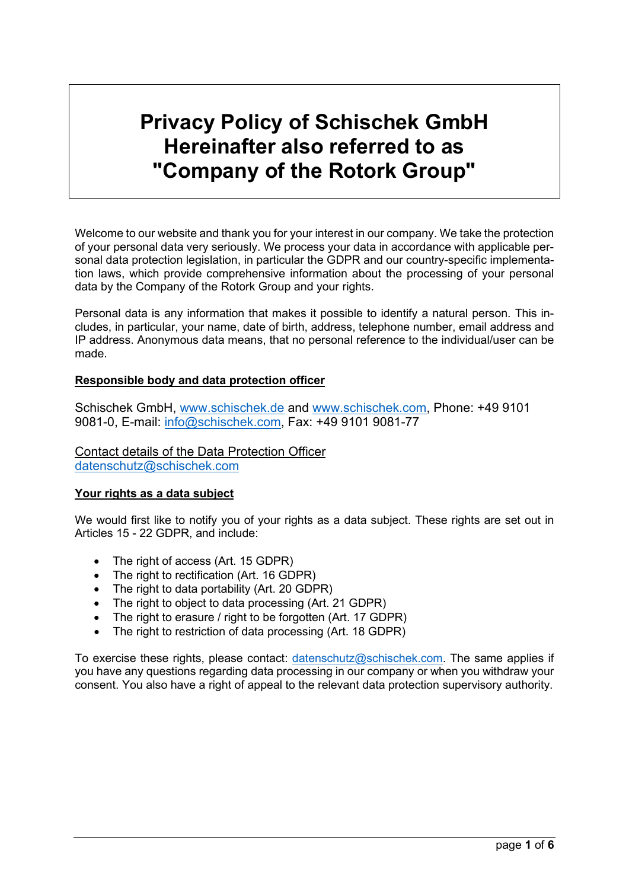# **Privacy Policy of Schischek GmbH Hereinafter also referred to as "Company of the Rotork Group"**

Welcome to our website and thank you for your interest in our company. We take the protection of your personal data very seriously. We process your data in accordance with applicable personal data protection legislation, in particular the GDPR and our country-specific implementation laws, which provide comprehensive information about the processing of your personal data by the Company of the Rotork Group and your rights.

Personal data is any information that makes it possible to identify a natural person. This includes, in particular, your name, date of birth, address, telephone number, email address and IP address. Anonymous data means, that no personal reference to the individual/user can be made.

## **Responsible body and data protection officer**

Schischek GmbH, [www.schischek.de](http://www.schischek.de/) and [www.schischek.com,](http://www.schischek.com/) Phone: +49 9101 9081-0, E-mail: [info@schischek.com,](mailto:info@schischek.com) Fax: +49 9101 9081-77

Contact details of the Data Protection Officer [datenschutz@schischek.com](mailto:datenschutz@schischek.com)

## **Your rights as a data subject**

We would first like to notify you of your rights as a data subject. These rights are set out in Articles 15 - 22 GDPR, and include:

- The right of access (Art. 15 GDPR)
- The right to rectification (Art. 16 GDPR)
- The right to data portability (Art. 20 GDPR)
- The right to object to data processing (Art. 21 GDPR)
- The right to erasure / right to be forgotten (Art. 17 GDPR)
- The right to restriction of data processing (Art. 18 GDPR)

To exercise these rights, please contact: [datenschutz@schischek.com.](mailto:datenschutz@schischek.com) The same applies if you have any questions regarding data processing in our company or when you withdraw your consent. You also have a right of appeal to the relevant data protection supervisory authority.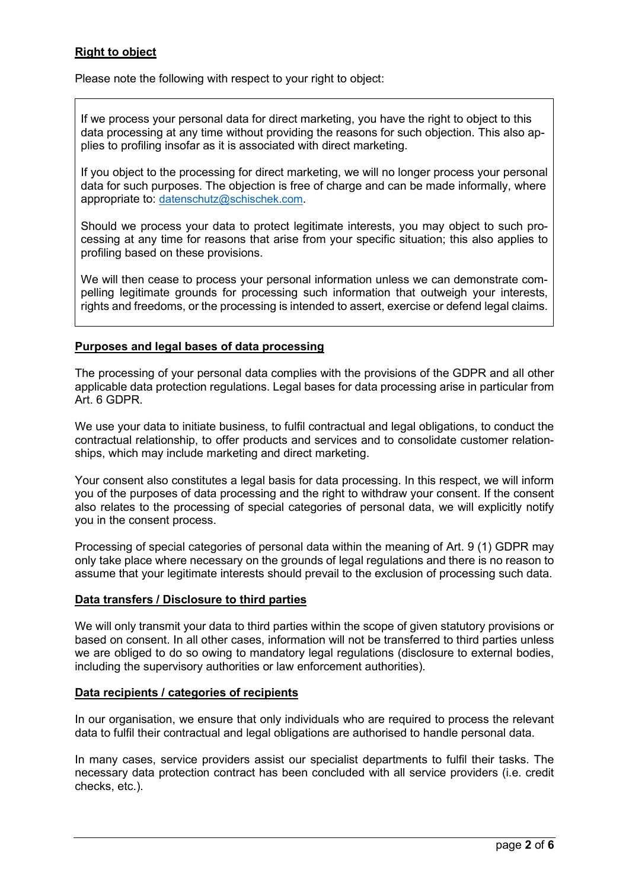# **Right to object**

Please note the following with respect to your right to object:

If we process your personal data for direct marketing, you have the right to object to this data processing at any time without providing the reasons for such objection. This also applies to profiling insofar as it is associated with direct marketing.

If you object to the processing for direct marketing, we will no longer process your personal data for such purposes. The objection is free of charge and can be made informally, where appropriate to: [datenschutz@schischek.com.](mailto:datenschutz@schischek.com)

Should we process your data to protect legitimate interests, you may object to such processing at any time for reasons that arise from your specific situation; this also applies to profiling based on these provisions.

We will then cease to process your personal information unless we can demonstrate compelling legitimate grounds for processing such information that outweigh your interests, rights and freedoms, or the processing is intended to assert, exercise or defend legal claims.

#### **Purposes and legal bases of data processing**

The processing of your personal data complies with the provisions of the GDPR and all other applicable data protection regulations. Legal bases for data processing arise in particular from Art. 6 GDPR.

We use your data to initiate business, to fulfil contractual and legal obligations, to conduct the contractual relationship, to offer products and services and to consolidate customer relationships, which may include marketing and direct marketing.

Your consent also constitutes a legal basis for data processing. In this respect, we will inform you of the purposes of data processing and the right to withdraw your consent. If the consent also relates to the processing of special categories of personal data, we will explicitly notify you in the consent process.

Processing of special categories of personal data within the meaning of Art. 9 (1) GDPR may only take place where necessary on the grounds of legal regulations and there is no reason to assume that your legitimate interests should prevail to the exclusion of processing such data.

#### **Data transfers / Disclosure to third parties**

We will only transmit your data to third parties within the scope of given statutory provisions or based on consent. In all other cases, information will not be transferred to third parties unless we are obliged to do so owing to mandatory legal regulations (disclosure to external bodies, including the supervisory authorities or law enforcement authorities).

## **Data recipients / categories of recipients**

In our organisation, we ensure that only individuals who are required to process the relevant data to fulfil their contractual and legal obligations are authorised to handle personal data.

In many cases, service providers assist our specialist departments to fulfil their tasks. The necessary data protection contract has been concluded with all service providers (i.e. credit checks, etc.).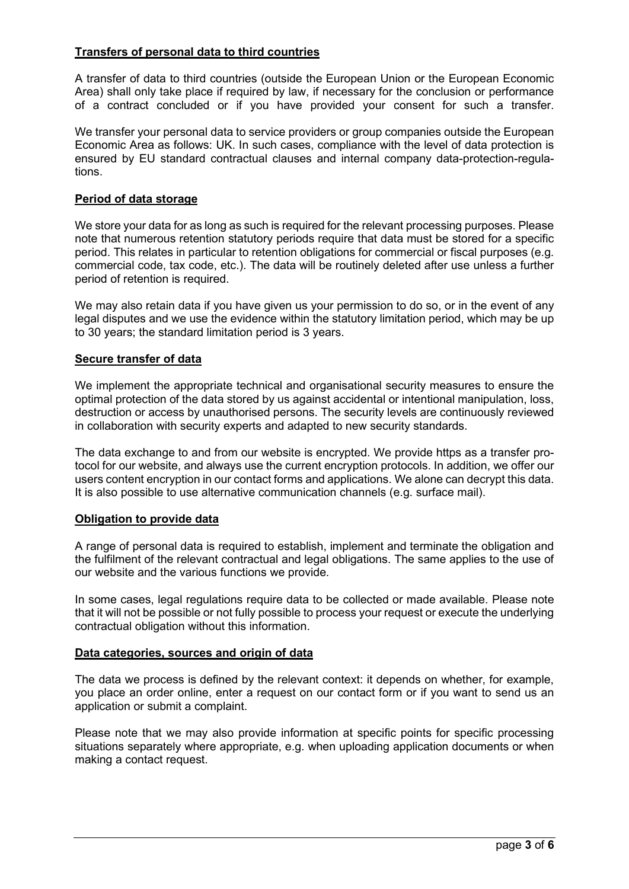# **Transfers of personal data to third countries**

A transfer of data to third countries (outside the European Union or the European Economic Area) shall only take place if required by law, if necessary for the conclusion or performance of a contract concluded or if you have provided your consent for such a transfer.

We transfer your personal data to service providers or group companies outside the European Economic Area as follows: UK. In such cases, compliance with the level of data protection is ensured by EU standard contractual clauses and internal company data-protection-regulations.

#### **Period of data storage**

We store your data for as long as such is required for the relevant processing purposes. Please note that numerous retention statutory periods require that data must be stored for a specific period. This relates in particular to retention obligations for commercial or fiscal purposes (e.g. commercial code, tax code, etc.). The data will be routinely deleted after use unless a further period of retention is required.

We may also retain data if you have given us your permission to do so, or in the event of any legal disputes and we use the evidence within the statutory limitation period, which may be up to 30 years; the standard limitation period is 3 years.

## **Secure transfer of data**

We implement the appropriate technical and organisational security measures to ensure the optimal protection of the data stored by us against accidental or intentional manipulation, loss, destruction or access by unauthorised persons. The security levels are continuously reviewed in collaboration with security experts and adapted to new security standards.

The data exchange to and from our website is encrypted. We provide https as a transfer protocol for our website, and always use the current encryption protocols. In addition, we offer our users content encryption in our contact forms and applications. We alone can decrypt this data. It is also possible to use alternative communication channels (e.g. surface mail).

#### **Obligation to provide data**

A range of personal data is required to establish, implement and terminate the obligation and the fulfilment of the relevant contractual and legal obligations. The same applies to the use of our website and the various functions we provide.

In some cases, legal regulations require data to be collected or made available. Please note that it will not be possible or not fully possible to process your request or execute the underlying contractual obligation without this information.

#### **Data categories, sources and origin of data**

The data we process is defined by the relevant context: it depends on whether, for example, you place an order online, enter a request on our contact form or if you want to send us an application or submit a complaint.

Please note that we may also provide information at specific points for specific processing situations separately where appropriate, e.g. when uploading application documents or when making a contact request.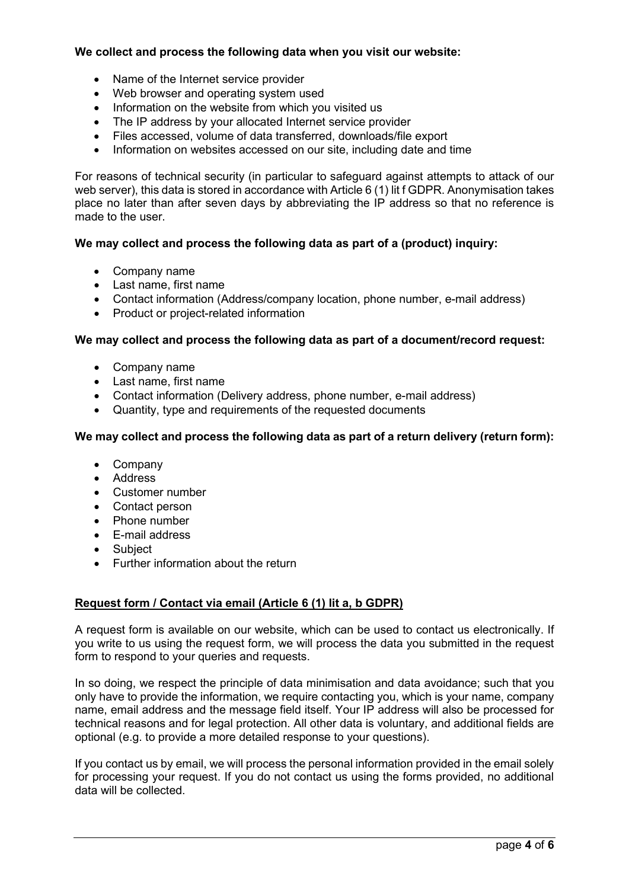# **We collect and process the following data when you visit our website:**

- Name of the Internet service provider
- Web browser and operating system used
- Information on the website from which you visited us
- The IP address by your allocated Internet service provider
- Files accessed, volume of data transferred, downloads/file export
- Information on websites accessed on our site, including date and time

For reasons of technical security (in particular to safeguard against attempts to attack of our web server), this data is stored in accordance with Article 6 (1) lit f GDPR. Anonymisation takes place no later than after seven days by abbreviating the IP address so that no reference is made to the user.

## **We may collect and process the following data as part of a (product) inquiry:**

- Company name
- Last name, first name
- Contact information (Address/company location, phone number, e-mail address)
- Product or project-related information

## **We may collect and process the following data as part of a document/record request:**

- Company name
- Last name, first name
- Contact information (Delivery address, phone number, e-mail address)
- Quantity, type and requirements of the requested documents

## **We may collect and process the following data as part of a return delivery (return form):**

- Company
- Address
- Customer number
- Contact person
- Phone number
- E-mail address
- Subject
- Further information about the return

## **Request form / Contact via email (Article 6 (1) lit a, b GDPR)**

A request form is available on our website, which can be used to contact us electronically. If you write to us using the request form, we will process the data you submitted in the request form to respond to your queries and requests.

In so doing, we respect the principle of data minimisation and data avoidance; such that you only have to provide the information, we require contacting you, which is your name, company name, email address and the message field itself. Your IP address will also be processed for technical reasons and for legal protection. All other data is voluntary, and additional fields are optional (e.g. to provide a more detailed response to your questions).

If you contact us by email, we will process the personal information provided in the email solely for processing your request. If you do not contact us using the forms provided, no additional data will be collected.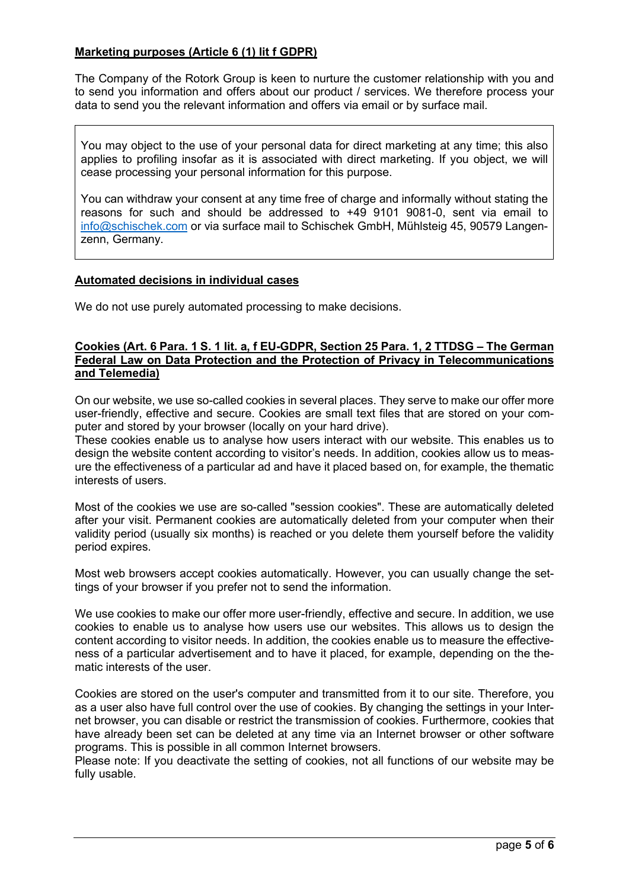# **Marketing purposes (Article 6 (1) lit f GDPR)**

The Company of the Rotork Group is keen to nurture the customer relationship with you and to send you information and offers about our product / services. We therefore process your data to send you the relevant information and offers via email or by surface mail.

You may object to the use of your personal data for direct marketing at any time; this also applies to profiling insofar as it is associated with direct marketing. If you object, we will cease processing your personal information for this purpose.

You can withdraw your consent at any time free of charge and informally without stating the reasons for such and should be addressed to +49 9101 9081-0, sent via email to [info@schischek.com](mailto:info@schischek.com) or via surface mail to Schischek GmbH, Mühlsteig 45, 90579 Langenzenn, Germany.

#### **Automated decisions in individual cases**

We do not use purely automated processing to make decisions.

#### **Cookies (Art. 6 Para. 1 S. 1 lit. a, f EU-GDPR, Section 25 Para. 1, 2 TTDSG – The German Federal Law on Data Protection and the Protection of Privacy in Telecommunications and Telemedia)**

On our website, we use so-called cookies in several places. They serve to make our offer more user-friendly, effective and secure. Cookies are small text files that are stored on your computer and stored by your browser (locally on your hard drive).

These cookies enable us to analyse how users interact with our website. This enables us to design the website content according to visitor's needs. In addition, cookies allow us to measure the effectiveness of a particular ad and have it placed based on, for example, the thematic interests of users.

Most of the cookies we use are so-called "session cookies". These are automatically deleted after your visit. Permanent cookies are automatically deleted from your computer when their validity period (usually six months) is reached or you delete them yourself before the validity period expires.

Most web browsers accept cookies automatically. However, you can usually change the settings of your browser if you prefer not to send the information.

We use cookies to make our offer more user-friendly, effective and secure. In addition, we use cookies to enable us to analyse how users use our websites. This allows us to design the content according to visitor needs. In addition, the cookies enable us to measure the effectiveness of a particular advertisement and to have it placed, for example, depending on the thematic interests of the user.

Cookies are stored on the user's computer and transmitted from it to our site. Therefore, you as a user also have full control over the use of cookies. By changing the settings in your Internet browser, you can disable or restrict the transmission of cookies. Furthermore, cookies that have already been set can be deleted at any time via an Internet browser or other software programs. This is possible in all common Internet browsers.

Please note: If you deactivate the setting of cookies, not all functions of our website may be fully usable.